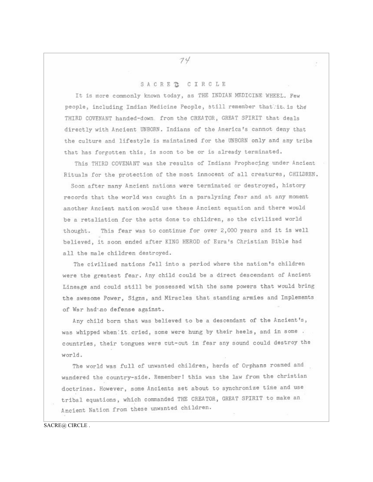## 74

## SACRE T CIRCLE

It is more commonly known today, as THE INDIAN MEDICINE WHEEL. Few people, including Indian Medicine People, still remember that it is the THIRD COVENANT handed-down. from the CREATOR, GREAT SPIRIT that deals directly with Ancient UNBORN. Indians of the America's cannot deny that the culture and lifestyle is maintained for the UNBORN only and any tribe that has forgotten this, is soon to be or is already terminated.

This THIRD COVENANT was the results of Indians Prophecing under Ancient Rituals for the protection of the most innocent of all creatures, CHILDREN.

Soon after many Ancient nations were terminated or destroyed, history records that the world was caught in a paralyzing fear and at any moment another Ancient nation would use these Ancient equation and there would be a retaliation for the acts done to children, so the civilized world thought. This fear was to continue for over 2,000 years and it is well believed, it soon ended after KING HEROD of Ezra's Christian Bible had all the male children destroyed.

The civilized nations fell into a period where the nation's children were the greatest fear. Any child could be a direct descendant of Ancient Lineage and could still be possessed with the same powers that would bring the awesome Power, Signs, and Miracles that standing armies and Implements of War had no defense against.

Any child born that was believed to be a descendant of the Ancient's, was whipped when it cried, some were hung by their heels, and in some. countries, their tongues were cut-out in fear any sound could destroy the world.

The world was full of unwanted children, herds of Orphans roamed and wandered the country-side. Remember! this was the law from the christian doctrines. However, some Ancients set about to synchronize time and use tribal equations, which commanded THE CREATOR, GREAT SPIRIT to make an Ancient Nation from these unwanted children.

SACRE@ CIRCLE.